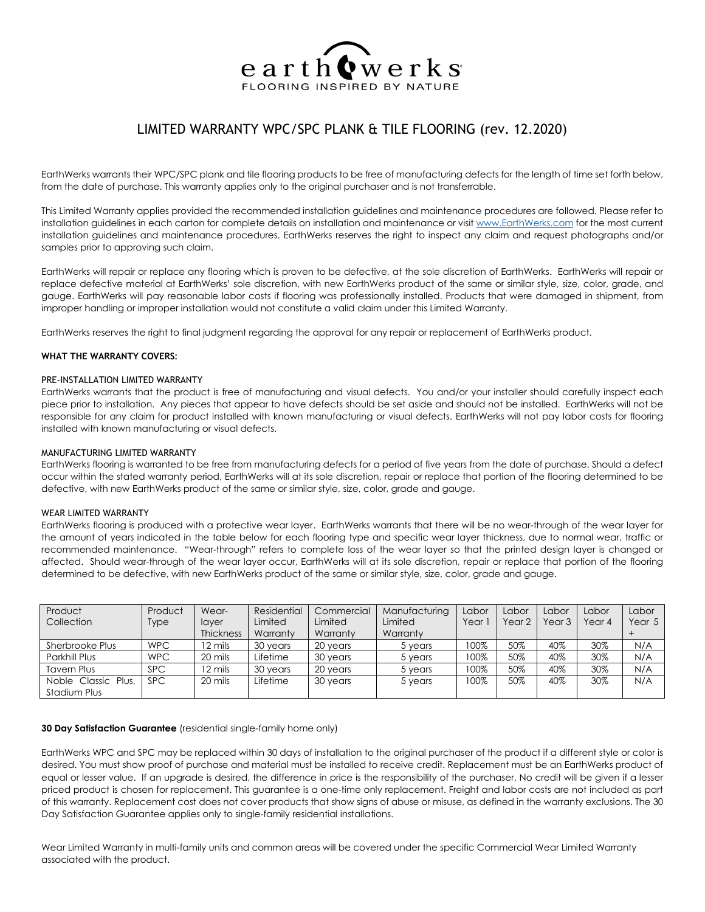

# LIMITED WARRANTY WPC/SPC PLANK & TILE FLOORING (rev. 12.2020)

EarthWerks warrants their WPC/SPC plank and tile flooring products to be free of manufacturing defects for the length of time set forth below, from the date of purchase. This warranty applies only to the original purchaser and is not transferrable.

This Limited Warranty applies provided the recommended installation guidelines and maintenance procedures are followed. Please refer to installation guidelines in each carton for complete details on installation and maintenance or visi[t www.EarthWerks.com](http://www.swiff-train.com/) for the most current installation guidelines and maintenance procedures. EarthWerks reserves the right to inspect any claim and request photographs and/or samples prior to approving such claim.

EarthWerks will repair or replace any flooring which is proven to be defective, at the sole discretion of EarthWerks. EarthWerks will repair or replace defective material at EarthWerks' sole discretion, with new EarthWerks product of the same or similar style, size, color, grade, and gauge. EarthWerks will pay reasonable labor costs if flooring was professionally installed. Products that were damaged in shipment, from improper handling or improper installation would not constitute a valid claim under this Limited Warranty.

EarthWerks reserves the right to final judgment regarding the approval for any repair or replacement of EarthWerks product.

#### **WHAT THE WARRANTY COVERS:**

#### PRE-INSTALLATION LIMITED WARRANTY

EarthWerks warrants that the product is free of manufacturing and visual defects. You and/or your installer should carefully inspect each piece prior to installation. Any pieces that appear to have defects should be set aside and should not be installed. EarthWerks will not be responsible for any claim for product installed with known manufacturing or visual defects. EarthWerks will not pay labor costs for flooring installed with known manufacturing or visual defects.

#### MANUFACTURING LIMITED WARRANTY

EarthWerks flooring is warranted to be free from manufacturing defects for a period of five years from the date of purchase. Should a defect occur within the stated warranty period, EarthWerks will at its sole discretion, repair or replace that portion of the flooring determined to be defective, with new EarthWerks product of the same or similar style, size, color, grade and gauge.

#### WEAR LIMITED WARRANTY

EarthWerks flooring is produced with a protective wear layer. EarthWerks warrants that there will be no wear-through of the wear layer for the amount of years indicated in the table below for each flooring type and specific wear layer thickness, due to normal wear, traffic or recommended maintenance. "Wear-through" refers to complete loss of the wear layer so that the printed design layer is changed or affected. Should wear-through of the wear layer occur, EarthWerks will at its sole discretion, repair or replace that portion of the flooring determined to be defective, with new EarthWerks product of the same or similar style, size, color, grade and gauge.

| Product             | Product     | Wear-            | Residential | Commercial | Manufacturing | Labor | Labor  | Labor             | Labor  | Labor  |
|---------------------|-------------|------------------|-------------|------------|---------------|-------|--------|-------------------|--------|--------|
| Collection          | <b>Type</b> | layer            | Limited     | Limited    | Limited       | Year  | Year 2 | Year <sub>3</sub> | Year 4 | Year 5 |
|                     |             | <b>Thickness</b> | Warranty    | Warranty   | Warranty      |       |        |                   |        |        |
| Sherbrooke Plus     | <b>WPC</b>  | 12 mils          | 30 years    | 20 years   | 5 years       | 100%  | 50%    | 40%               | 30%    | N/A    |
| Parkhill Plus       | <b>WPC</b>  | 20 mils          | Lifetime    | 30 years   | 5 years       | 100%  | 50%    | 40%               | 30%    | N/A    |
| <b>Tavern Plus</b>  | <b>SPC</b>  | 12 mils          | 30 years    | 20 years   | 5 years       | 100%  | 50%    | 40%               | 30%    | N/A    |
| Noble Classic Plus, | SPC.        | 20 mils          | Lifetime    | 30 years   | 5 years       | 100%  | 50%    | 40%               | 30%    | N/A    |
| Stadium Plus        |             |                  |             |            |               |       |        |                   |        |        |

#### **30 Day Satisfaction Guarantee** (residential single-family home only)

EarthWerks WPC and SPC may be replaced within 30 days of installation to the original purchaser of the product if a different style or color is desired. You must show proof of purchase and material must be installed to receive credit. Replacement must be an EarthWerks product of equal or lesser value. If an upgrade is desired, the difference in price is the responsibility of the purchaser. No credit will be given if a lesser priced product is chosen for replacement. This guarantee is a one-time only replacement. Freight and labor costs are not included as part of this warranty. Replacement cost does not cover products that show signs of abuse or misuse, as defined in the warranty exclusions. The 30 Day Satisfaction Guarantee applies only to single-family residential installations.

Wear Limited Warranty in multi-family units and common areas will be covered under the specific Commercial Wear Limited Warranty associated with the product.